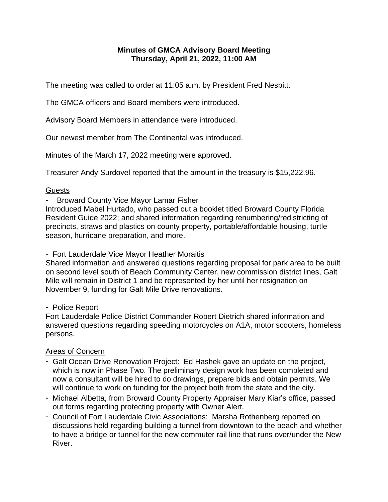## **Minutes of GMCA Advisory Board Meeting Thursday, April 21, 2022, 11:00 AM**

The meeting was called to order at 11:05 a.m. by President Fred Nesbitt.

The GMCA officers and Board members were introduced.

Advisory Board Members in attendance were introduced.

Our newest member from The Continental was introduced.

Minutes of the March 17, 2022 meeting were approved.

Treasurer Andy Surdovel reported that the amount in the treasury is \$15,222.96.

## Guests

- Broward County Vice Mayor Lamar Fisher

Introduced Mabel Hurtado, who passed out a booklet titled Broward County Florida Resident Guide 2022; and shared information regarding renumbering/redistricting of precincts, straws and plastics on county property, portable/affordable housing, turtle season, hurricane preparation, and more.

- Fort Lauderdale Vice Mayor Heather Moraitis

Shared information and answered questions regarding proposal for park area to be built on second level south of Beach Community Center, new commission district lines, Galt Mile will remain in District 1 and be represented by her until her resignation on November 9, funding for Galt Mile Drive renovations.

### - Police Report

Fort Lauderdale Police District Commander Robert Dietrich shared information and answered questions regarding speeding motorcycles on A1A, motor scooters, homeless persons.

# Areas of Concern

- Galt Ocean Drive Renovation Project: Ed Hashek gave an update on the project, which is now in Phase Two. The preliminary design work has been completed and now a consultant will be hired to do drawings, prepare bids and obtain permits. We will continue to work on funding for the project both from the state and the city.
- Michael Albetta, from Broward County Property Appraiser Mary Kiar's office, passed out forms regarding protecting property with Owner Alert.
- Council of Fort Lauderdale Civic Associations: Marsha Rothenberg reported on discussions held regarding building a tunnel from downtown to the beach and whether to have a bridge or tunnel for the new commuter rail line that runs over/under the New River.